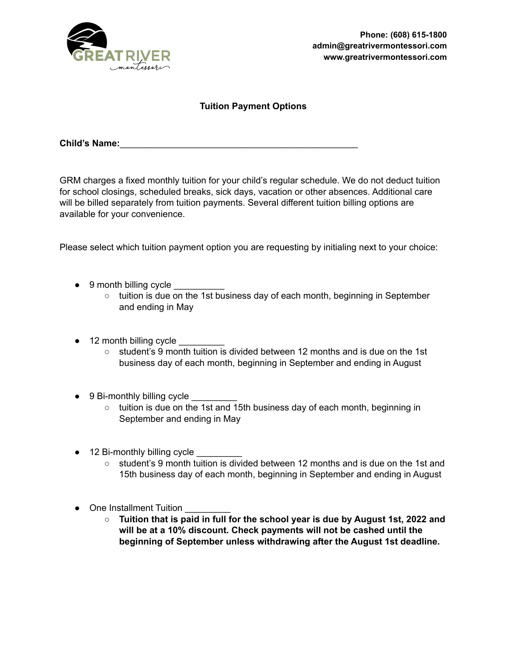

### **Tuition Payment Options**

**Child's Name:**\_\_\_\_\_\_\_\_\_\_\_\_\_\_\_\_\_\_\_\_\_\_\_\_\_\_\_\_\_\_\_\_\_\_\_\_\_\_\_\_\_\_\_\_\_\_\_

GRM charges a fixed monthly tuition for your child's regular schedule. We do not deduct tuition for school closings, scheduled breaks, sick days, vacation or other absences. Additional care will be billed separately from tuition payments. Several different tuition billing options are available for your convenience.

Please select which tuition payment option you are requesting by initialing next to your choice:

- 9 month billing cycle
	- tuition is due on the 1st business day of each month, beginning in September and ending in May
- 12 month billing cycle
	- $\circ$  student's 9 month tuition is divided between 12 months and is due on the 1st business day of each month, beginning in September and ending in August
- $\bullet$  9 Bi-monthly billing cycle
	- tuition is due on the 1st and 15th business day of each month, beginning in September and ending in May
- 12 Bi-monthly billing cycle
	- student's 9 month tuition is divided between 12 months and is due on the 1st and 15th business day of each month, beginning in September and ending in August
- One Installment Tuition
	- **○ Tuition that is paid in full for the school year is due by August 1st, 2022 and will be at a 10% discount. Check payments will not be cashed until the beginning of September unless withdrawing after the August 1st deadline.**